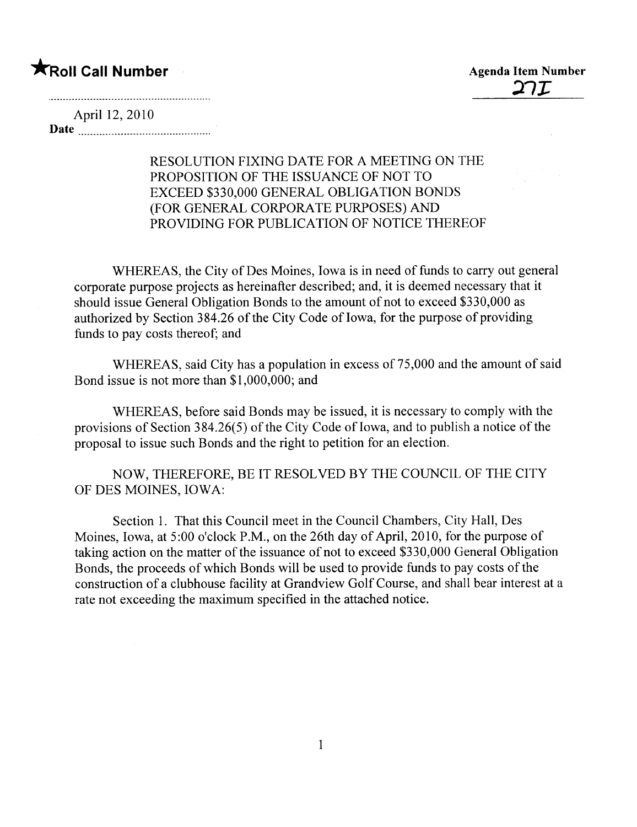**\*** Roll Call Number Agenda Item Number Agenda Item Number Agenda Item Number

April 12, 2010 Date

## RESOLUTION FIXING DATE FOR A MEETING ON THE PROPOSITION OF THE ISSUANCE OF NOT TO EXCEED \$330,000 GENERAL OBLIGATION BONDS (FOR GENERAL CORPORATE PURPOSES) AND PROVIDING FOR PUBLICATION OF NOTICE THEREOF

WHEREAS, the City of Des Moines, Iowa is in need of funds to carry out general corporate purpose projects as hereinafter described; and, it is deemed necessary that it should issue General Obligation Bonds to the amount of not to exceed \$330,000 as authorized by Section 384.26 of the City Code of Iowa, for the purpose of providing funds to pay costs thereof; and

WHEREAS, said City has a population in excess of 75,000 and the amount of said Bond issue is not more than \$1,000,000; and

WHEREAS, before said Bonds may be issued, it is necessary to comply with the provisions of Section  $384.26(5)$  of the City Code of Iowa, and to publish a notice of the proposal to issue such Bonds and the right to petition for an election.

NOW, THEREFORE, BE IT RESOLVED BY THE COUNCIL OF THE CITY OF DES MOINES, IOWA:

Section 1. That this Council meet in the Council Chambers, City Hall, Des Moines, Iowa, at 5:00 o'clock P.M., on the 26th day of April, 2010, for the purpose of taking action on the matter of the issuance of not to exceed \$330,000 General Obligation Bonds, the proceeds of which Bonds wil be used to provide funds to pay costs of the construction of a clubhouse facility at Grandview Golf Course, and shall bear interest at a rate not exceeding the maximum specified in the attached notice.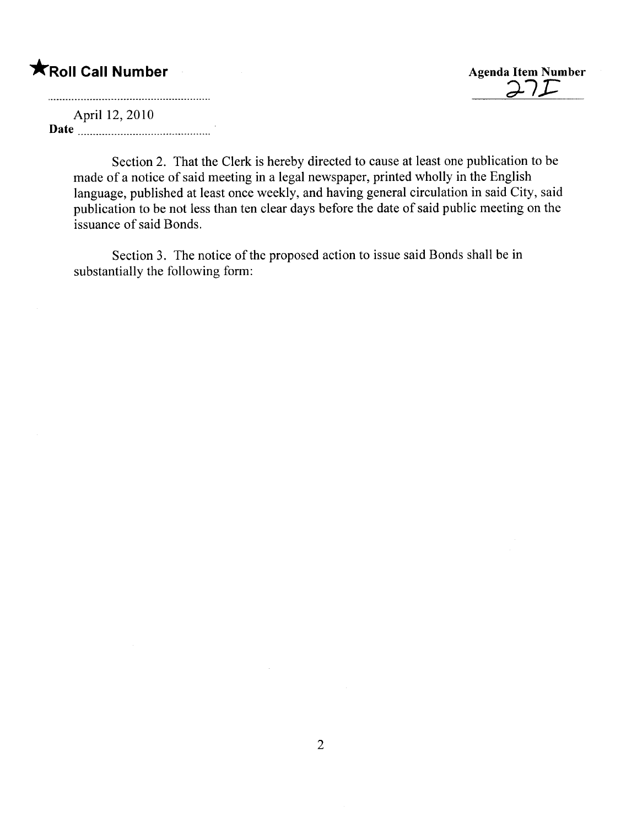## **\***Roll Call Number Agenda Item Number

<u>d | 1 - </u>

April 12, 2010

Date <u>manual communication</u>

Section 2. That the Clerk is hereby directed to cause at least one publication to be made of a notice of said meeting in a legal newspaper, printed wholly in the English language, published at least once weekly, and having general circulation in said City, said publication to be not less than ten clear days before the date of said public meeting on the issuance of said Bonds.

Section 3. The notice of the proposed action to issue said Bonds shall be in substantially the following form: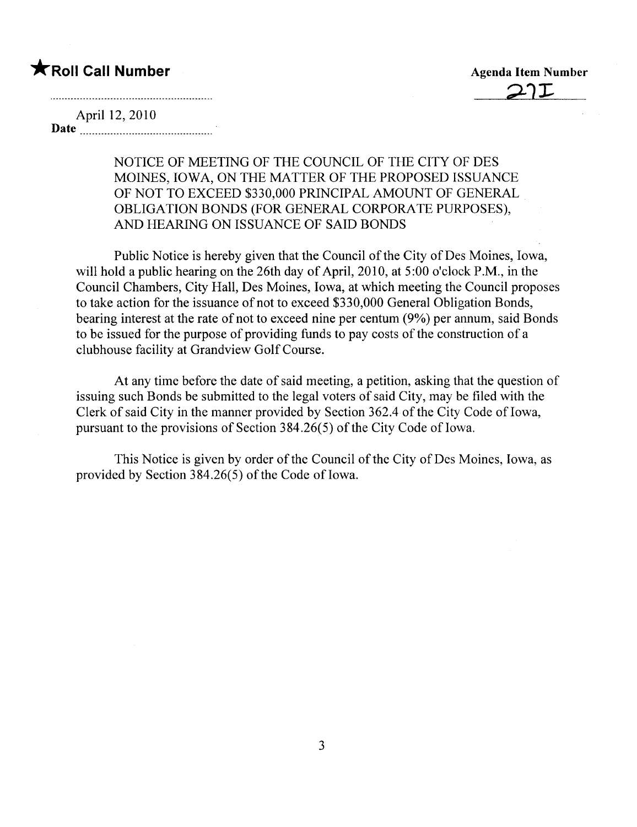## **\*** Roll Call Number Agenda Item Number

April 12, 2010 Date <u>music communication</u>

> NOTICE OF MEETING OF THE COUNCIL OF THE CITY OF DES MOINES, IOWA, ON THE MATTER OF THE PROPOSED ISSUANCE OF NOT TO EXCEED \$330,000 PRINCIPAL AMOUNT OF GENERAL OBLIGATION BONDS (FOR GENERAL CORPORATE PURPOSES), AND HEARING ON ISSUANCE OF SAID BONDS

Public Notice is hereby given that the Council of the City of Des Moines, Iowa, will hold a public hearing on the 26th day of April, 2010, at 5:00 o'clock P.M., in the Council Chambers, City Hall, Des Moines, Iowa, at which meeting the Council proposes to take action for the issuance of not to exceed \$330,000 General Obligation Bonds, bearing interest at the rate of not to exceed nine per centum (9%) per annum, said Bonds to be issued for the purpose of providing funds to pay costs of the construction of a clubhouse facility at Grandview Golf Course.

At any time before the date of said meeting, a petition, asking that the question of issuing such Bonds be submitted to the legal voters of said City, may be fied with the Clerk of said City in the manner provided by Section 362.4 of the City Code of Iowa, pursuant to the provisions of Section  $384.26(5)$  of the City Code of Iowa.

This Notice is given by order of the Council of the City of Des Moines, Iowa, as provided by Section  $384.26(5)$  of the Code of Iowa.